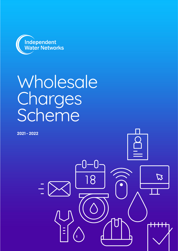

# Wholesale **Charges** Scheme

 $\sqrt{2}$ 

**R** 

 $\overline{18}$ 

**2021 - 2022**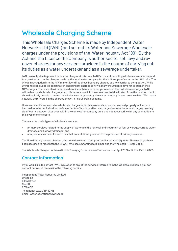# **Wholesale Charging Scheme**

This Wholesale Charges Scheme is made by Independent Water Networks Ltd (IWNL) and set out its Water and Sewerage Wholesale charges under the provisions of the Water Industry Act 1991. By the Act and the Licence the Company is authorised to set, levy and recover charges for any services provided in the course of carrying out its duties as a water undertaker and as a sewerage undertaker.

IWNL are only able to present indicative charges at this time. IWNL's costs of providing wholesale services depend to a great extent on the charges made by the local water company for the bulk supply of water to the IWNL site. The Ofwat investigation into the NAV market identified these boundary charges as a key barrier to competition. While Ofwat has concluded its consultation on boundary charges to NAVs, many incumbents have yet to publish their NAV charges. There are also instances where incumbents have not yet released their wholesale charges. IWNL will review its wholesale charges when this has occurred. In the meantime, IWNL will start from the position that it should typically be able to match the wholesale charges set by the water company in each area in which IWNL has a network, as reflected in the charges shown in this Charging Scheme.

However, specific requests for wholesale charges for both household and non-household property will have to be considered on an individual basis in order to offer cost-reflective charges because boundary charges can vary significantly between sites even within the same water company area, and not necessarily with any connection to the level of onsite costs.

There are two main types of wholesale services:

- primary services related to the supply of water and the removal and treatment of foul sewerage, surface water drainage and highway drainage; and
- non-primary services for activities that are not directly related to the provision of primary services.

The Non-Primary service charges have been developed to support retailer service requests. These charges have been designed to meet both the OFWAT Wholesale Charging Guidelines and the Wholesale - Retail Code.

The Wholesale Charges contained in this Charging Scheme are effective from 1st April 2021 until 31st March 2022.

# **Contact Information**

If you would like to contact IWNL in relation to any of the services referred to in the Wholesale Scheme, you can contact our Asset Team using the following details:

Independent Water Networks Limited Driscoll 2 Ellen Street Cardiff CF10 4BP Telephone: 02920 31442716 Email: water.operations@iwnl.co.uk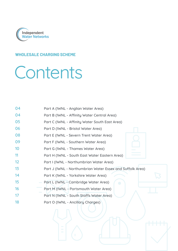

# **W[HOLESALE CHARGING SCHEME](#page-3-0)**

# [Contents](#page-4-0)

| 04        | Part A (IWNL - Anglian Water Area)                          |
|-----------|-------------------------------------------------------------|
| 04        | Part B (IWNL - Affinity Water Central Area)                 |
| 05        | Part C (IWNL - Affinity Water South East Area)              |
| 06        | Part D (IWNL - Bristol Water Area)                          |
| 08        | Part E (IWNL - Severn Trent Water Area)                     |
| 09        | Part F (IWNL - Southern Water Area)                         |
| 10        | Part G (IWNL - Thames Water Area)                           |
| 11        | Part H (IWNL - South East Water Eastern Area)               |
| 12        | Part I (IWNL - Northumbrian Water Area)                     |
| 13        | Part J (IWNL - Northumbrian Water Essex and Suffolk Area)   |
| 14        | Part K (IWNL - Yorkshire Water Area)                        |
| 15        | Part L (IWNL - Cambridge Water Area)<br>$\bigcap$           |
| <b>16</b> | Part M (IWNL - Portsmouth Water Area)                       |
| 17        | Part N (IWNL - South Staffs Water Area)                     |
| 18        | Part O (IWNL - Ancillary Charges)                           |
|           | <u>and the second second</u><br><b>In the Second Street</b> |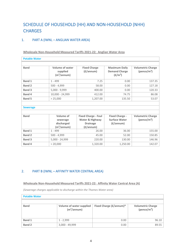# SCHEDULE OF HOUSEHOLD (HH) AND NON-HOUSEHOLD (NHH) **CHARGES**

#### <span id="page-3-0"></span>1. PART A (IWNL – ANGLIAN WATER AREA)

**Wholesale Non-Household Measured Tariffs 2021-22: Anglian Water Area**

| <b>Potable Water</b> |                                                               |                                                                                        |                                                                     |                                                     |
|----------------------|---------------------------------------------------------------|----------------------------------------------------------------------------------------|---------------------------------------------------------------------|-----------------------------------------------------|
|                      |                                                               |                                                                                        |                                                                     |                                                     |
| <b>Band</b>          | <b>Volume of water</b><br>supplied<br>(m <sup>3</sup> /annum) | <b>Fixed Charge</b><br>$(f/\text{annum})$                                              | <b>Maximum Daily</b><br><b>Demand Charge</b><br>(E/m <sup>3</sup> ) | <b>Volumetric Charge</b><br>(pence/m <sup>3</sup> ) |
| <b>Band 1</b>        | $1 - 499$                                                     | 7.25                                                                                   | 0.00                                                                | 137.35                                              |
| <b>Band 2</b>        | $500 - 4,999$                                                 | 58.00                                                                                  | 0.00                                                                | 127.18                                              |
| <b>Band 3</b>        | $5,000 - 9,999$                                               | 400.00                                                                                 | 0.00                                                                | 120.33                                              |
| <b>Band 4</b>        | 10,000 - 24,999                                               | 412.00                                                                                 | 74.75                                                               | 86.08                                               |
| <b>Band 5</b>        | > 25,000                                                      | 1,207.00                                                                               | 135.50                                                              | 53.07                                               |
|                      |                                                               |                                                                                        |                                                                     |                                                     |
| <b>Sewerage</b>      |                                                               |                                                                                        |                                                                     |                                                     |
|                      |                                                               |                                                                                        |                                                                     |                                                     |
| <b>Band</b>          | Volume of<br>sewerage<br>discharged<br>$(m^3/annum)$          | <b>Fixed Charge - Foul</b><br>Water & Highway<br><b>Drainage</b><br>$(f/\text{annum})$ | <b>Fixed Charge -</b><br><b>Surface Water</b><br>$(f/\text{annum})$ | <b>Volumetric Charge</b><br>(pence/m <sup>3</sup> ) |
| <b>Band 1</b>        | $1 - 499$                                                     | 26.00                                                                                  | 36.00                                                               | 155.00                                              |
| <b>Band 2</b>        | $500 - 4,999$                                                 | 45.00                                                                                  | 52.00                                                               | 150.85                                              |
| <b>Band 3</b>        | 5,000 - 24,999                                                | 220.00                                                                                 | 130.00                                                              | 146.96                                              |
| Band 4               | > 20,000                                                      | 1,320.00                                                                               | 1,250.00                                                            | 142.07                                              |

#### <span id="page-3-1"></span>2. PART B (IWNL – AFFINITY WATER CENTRAL AREA)

**Wholesale Non-Household Measured Tariffs 2021-22: Affinity Water Central Area (A)**

*(Sewerage charges applicable to discharge within the Thames Water area)*

| <b>Potable Water</b> |                                                            |                         |                                             |
|----------------------|------------------------------------------------------------|-------------------------|---------------------------------------------|
|                      |                                                            |                         |                                             |
| <b>Band</b>          | <b>Volume of water supplied</b><br>(m <sup>3</sup> /annum) | Fixed Charge (£/annum)* | <b>Volumetric Charge</b><br>(pence/ $m^3$ ) |
| <b>Band 1</b>        | $1 - 2.999$                                                | 0.00                    | 96.10                                       |
| <b>Band 2</b>        | $3,000 - 49,999$                                           | 0.00                    | 89.55                                       |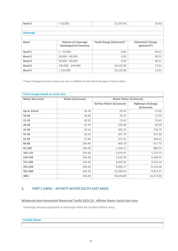| <b>Band 3</b>   | > 50,000                                              | 15,324.96               | 58.90                                       |
|-----------------|-------------------------------------------------------|-------------------------|---------------------------------------------|
|                 |                                                       |                         |                                             |
| <b>Sewerage</b> |                                                       |                         |                                             |
|                 |                                                       |                         |                                             |
| <b>Band</b>     | <b>Volume of sewerage</b><br>discharged $(m^3/annum)$ | Fixed Charge (£/annum)* | <b>Volumetric Charge</b><br>(pence/ $m^3$ ) |
| <b>Band 1</b>   | $1 - 19,999$                                          | 0.00                    | 90.51                                       |
| Band 2          | 20,000 - 49,999                                       | 0.00                    | 90.51                                       |
| <b>Band 3</b>   | 50,000 - 99,999                                       | 0.00                    | 90.51                                       |
| Band 4          | 100,000 - 249,999                                     | 18,102.00               | 72.41                                       |
| <b>Band 5</b>   | > 250,000                                             | 18,102.00               | 72.41                                       |

| <b>Fixed charges based on meter size</b> |                 |                              |                                                |
|------------------------------------------|-----------------|------------------------------|------------------------------------------------|
| Meter Size (mm)                          | Water (£/annum) | <b>Waste Water (£/annum)</b> |                                                |
|                                          |                 | Surface Water (£/annum)      | <b>Highways Drainage</b><br>$(f/\text{annum})$ |
| Up to 15mm                               | 16.20           | 29.32                        | 17.02                                          |
| 16-20                                    | 26.40           | 29.32                        | 17.02                                          |
| 21-25                                    | 28.32           | 72.62                        | 55.45                                          |
| $26 - 30$                                | 31.44           | 129.68                       | 99.29                                          |
| $31 - 40$                                | 33.24           | 202.31                       | 154.75                                         |
| 41-50                                    | 40.56           | 291.79                       | 221.80                                         |
| $51 - 65$                                | 72.84           | 517.41                       | 394.62                                         |
| 66-80                                    | 104.40          | 809.18                       | 617.72                                         |
| 81-100                                   | 104.40          | 1,164.51                     | 888.55                                         |
| 101-125                                  | 104.40          | 2,070.97                     | 1,579.75                                       |
| 126-150                                  | 104.40          | 3,235.48                     | 2,468.32                                       |
| 151-200                                  | 104.40          | 4,659.36                     | 3,554.14                                       |
| 201-250                                  | 104.40          | 8,282.57                     | 6,319.06                                       |
| 251-300                                  | 104.40          | 12,940.63                    | 9,873.21                                       |
| $300+$                                   | 104.40          | 18,634.80                    | 14,217.86                                      |

### <span id="page-4-0"></span>3. PART C (IWNL – AFFINITY WATER SOUTH EAST AREA)

**Wholesale Non-Household Measured Tariffs 2021-22: Affinity Water South East Area**

*(Sewerage charges applicable to discharge within the Southern Water area)*

**Potable Water**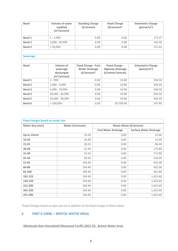| <b>Band</b>     | <b>Volume of water</b><br>supplied<br>(m <sup>3</sup> /annum) | <b>Standing Charge</b><br>$(f/\text{annum})$ | <b>Fixed Charge</b><br>$(f/\text{annum})^*$ | <b>Volumetric Charge</b><br>(pence/m <sup>3</sup> ) |
|-----------------|---------------------------------------------------------------|----------------------------------------------|---------------------------------------------|-----------------------------------------------------|
| Band 1          | $1 - 2,999$                                                   | 0.00                                         | 0.00                                        | 173.37                                              |
| <b>Band 2</b>   | 3,000 - 49,999                                                | 0.00                                         | 0.00                                        | 162.40                                              |
| <b>Band 3</b>   | > 50,000                                                      | 0.00                                         | 0.00                                        | 121.62                                              |
|                 |                                                               |                                              |                                             |                                                     |
| <b>Sewerage</b> |                                                               |                                              |                                             |                                                     |
|                 |                                                               |                                              |                                             |                                                     |
| <b>Band</b>     | Volume of                                                     | <b>Fixed Charge - Foul</b>                   | <b>Fixed Charge -</b>                       | <b>Volumetric Charge</b>                            |
|                 | sewerage                                                      | <b>Water Drainage</b>                        | <b>Highway Drainage</b>                     | (pence/m <sup>3</sup> )                             |
|                 | discharged                                                    | $(f/\text{annum})^*$                         | (£/meter/annum)                             |                                                     |
|                 | (m <sup>3</sup> /annum)                                       |                                              |                                             |                                                     |
| <b>Band 1</b>   | $1 - 999$                                                     | 0.00                                         | 10.80                                       | 204.50                                              |
| <b>Band 2</b>   | $1,000 - 4,999$                                               | 0.00                                         | 10.80                                       | 204.50                                              |
| <b>Band 3</b>   | 5,000 - 19,999                                                | 0.00                                         | 10.80                                       | 204.50                                              |
| Band 4          | 20,000 - 49,999                                               | 0.00                                         | 10.80                                       | 204.50                                              |
| <b>Band 5</b>   | 50,000 - 99,999                                               | 0.00                                         | 10.80                                       | 204.50                                              |
| Band 6          | >100,000                                                      | 0.00                                         | 56,700.00                                   | 147.80                                              |

| <b>Fixed charges based on meter size</b> |                 |                              |                               |
|------------------------------------------|-----------------|------------------------------|-------------------------------|
| Meter Size (mm)                          | Water (£/annum) | <b>Waste Water (£/annum)</b> |                               |
|                                          |                 | <b>Foul Water Drainage</b>   | <b>Surface Water Drainage</b> |
| Up to 15mm                               | 16.20           | 0.00                         | 21.60                         |
| $16 - 20$                                | 26.40           | 0.00                         | 21.60                         |
| $21 - 25$                                | 28.32           | 0.00                         | 86.40                         |
| $26 - 30$                                | 31.44           | 0.00                         | 172.80                        |
| $31 - 40$                                | 33.24           | 0.00                         | 172.80                        |
| 41-50                                    | 40.56           | 0.00                         | 216.00                        |
| $51 - 65$                                | 104.40          | 0.00                         | 432.00                        |
| 66-80                                    | 104.40          | 0.00                         | 432.00                        |
| 81-100                                   | 104.40          | 0.00                         | 561.60                        |
| 101-125                                  | 104.40          | 0.00                         | 1,425.60                      |
| 126-150                                  | 104.40          | 0.00                         | 1,425.60                      |
| 151-200                                  | 104.40          | 0.00                         | 1,425.60                      |
| 201-250                                  | 104.40          | 0.00                         | 1,425.60                      |
| 251-300                                  | 104.40          | 0.00                         | 1,425.60                      |

## <span id="page-5-0"></span>4. PART D (IWNL – BRISTOL WATER AREA)

**Wholesale Non-Household Measured Tariffs 2021-22: Bristol Water Area**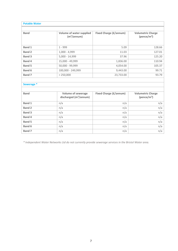| <b>Potable Water</b>  |                                                          |                               |                                            |
|-----------------------|----------------------------------------------------------|-------------------------------|--------------------------------------------|
| <b>Band</b>           | Volume of water supplied<br>(m <sup>3</sup> /annum)      | <b>Fixed Charge (£/annum)</b> | <b>Volumetric Charge</b><br>(pence/ $m3$ ) |
| Band 1                | $1 - 999$                                                | 5.09                          | 128.66                                     |
| <b>Band 2</b>         | $1,000 - 4,999$                                          | 11.03                         | 127.01                                     |
| <b>Band 3</b>         | $5,000 - 14,999$                                         | 37.96                         | 125.20                                     |
| <b>Band 4</b>         | 15,000 - 49,999                                          | 1,836.00                      | 110.94                                     |
| <b>Band 5</b>         | 50,000 - 99,999                                          | 4,054.00                      | 105.37                                     |
| Band 6                | 100,000 - 249,999                                        | 9,443.00                      | 99.71                                      |
| Band 7                | > 250,000                                                | 23,733.00                     | 93.79                                      |
|                       |                                                          |                               |                                            |
| Sewerage <sup>*</sup> |                                                          |                               |                                            |
|                       |                                                          |                               |                                            |
| <b>Band</b>           | Volume of sewerage<br>discharged (m <sup>3</sup> /annum) | <b>Fixed Charge (£/annum)</b> | <b>Volumetric Charge</b><br>(pence/ $m3$ ) |
| <b>Band 1</b>         | n/a                                                      | n/a                           | n/a                                        |
| <b>Band 2</b>         | n/a                                                      | n/a                           | n/a                                        |
| <b>Band 3</b>         | n/a                                                      | n/a                           | n/a                                        |
| <b>Band 4</b>         | n/a                                                      | n/a                           | n/a                                        |
| <b>Band 5</b>         | n/a                                                      | n/a                           | n/a                                        |
| Band 6                | n/a                                                      | n/a                           | n/a                                        |
| Band 7                | n/a                                                      | n/a                           | n/a                                        |

*\* Independent Water Networks Ltd do not currently provide sewerage services in the Bristol Water area.*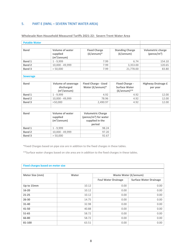### <span id="page-7-0"></span>5. PART E (IWNL – SEVERN TRENT WATER AREA)

| <b>Potable Water</b> |                                                        |                                             |                                                 |                                             |
|----------------------|--------------------------------------------------------|---------------------------------------------|-------------------------------------------------|---------------------------------------------|
|                      |                                                        |                                             |                                                 |                                             |
| <b>Band</b>          | Volume of water<br>supplied<br>(m <sup>3</sup> /annum) | <b>Fixed Charge</b><br>$(f/\text{annum})^*$ | <b>Standing Charge</b><br>$(f/\text{annum})$    | <b>Volumetric charge</b><br>(pence/ $m^3$ ) |
| <b>Band 1</b>        | $1 - 9,999$                                            | 7.99                                        | 6.74                                            | 154.10                                      |
| <b>Band 2</b>        | 10,000 - 49,999                                        | 7.99                                        | 3,353.00                                        | 120.65                                      |
| <b>Band 3</b>        | > 50,000                                               | 7.99                                        | 21,778.00                                       | 83.80                                       |
|                      |                                                        |                                             |                                                 |                                             |
| <b>Sewerage</b>      |                                                        |                                             |                                                 |                                             |
|                      |                                                        |                                             |                                                 |                                             |
| <b>Band</b>          | <b>Volume of sewerage</b>                              | <b>Fixed Charge - Used</b>                  | <b>Fixed Charge -</b>                           | <b>Highway Drainage £</b>                   |
|                      | discharged<br>(m <sup>3</sup> /annum)                  | Water (£/annum)*                            | <b>Surface Water</b><br>$(f/\text{annum})^{**}$ | per year                                    |
| <b>Band 1</b>        | $1 - 9,999$                                            | 4.92                                        | 4.92                                            | 12.00                                       |
| <b>Band 2</b>        | 10,000 - 49,999                                        | 78.96                                       | 4.92                                            | 12.00                                       |
| <b>Band 3</b>        | >50,000                                                | 2.490.97                                    | 4.92                                            | 12.00                                       |
|                      |                                                        |                                             |                                                 |                                             |
|                      |                                                        |                                             |                                                 |                                             |
| <b>Band</b>          | <b>Volume of water</b>                                 | <b>Volumetric Charge</b>                    |                                                 |                                             |
|                      | supplied                                               | (pence/ $m3$ ) for water                    |                                                 |                                             |
|                      | (m <sup>3</sup> /annum)                                | supplied in the                             |                                                 |                                             |
|                      |                                                        | period                                      |                                                 |                                             |
| <b>Band 1</b>        | $1 - 9,999$                                            | 98.24                                       |                                                 |                                             |
| <b>Band 2</b>        | 10,000 - 49,999                                        | 97.20                                       |                                                 |                                             |
| <b>Band 3</b>        | > 50,000                                               | 92.67                                       |                                                 |                                             |

#### **Wholesale Non-Household Measured Tariffs 2021-22: Severn Trent Water Area**

\*Fixed Charges based on pipe size are in addition to the fixed charges in these tables.

\*\*Surface water charges based on site area are in addition to the fixed charges in these tables.

|                 | <b>Fixed charges based on meter size</b> |                              |                               |
|-----------------|------------------------------------------|------------------------------|-------------------------------|
|                 |                                          |                              |                               |
| Meter Size (mm) | Water                                    | <b>Waste Water (£/annum)</b> |                               |
|                 |                                          | <b>Foul Water Drainage</b>   | <b>Surface Water Drainage</b> |
| Up to 15mm      | 10.12                                    | 0.00                         | 0.00                          |
| $16 - 20$       | 10.12                                    | 0.00                         | 0.00                          |
| $21 - 25$       | 10.12                                    | 0.00                         | 0.00                          |
| 26-30           | 14.75                                    | 0.00                         | 0.00                          |
| 31-40           | 32.98                                    | 0.00                         | 0.00                          |
| 41-50           | 40.88                                    | 0.00                         | 0.00                          |
| 51-65           | 58.72                                    | 0.00                         | 0.00                          |
| 66-80           | 58.72                                    | 0.00                         | 0.00                          |
| 81-100          | 63.51                                    | 0.00                         | 0.00                          |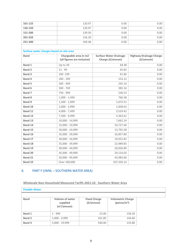| 101-125                                  | 120.97                      | 0.00                          | 0.00                           |
|------------------------------------------|-----------------------------|-------------------------------|--------------------------------|
| 126-150                                  | 120.97                      | 0.00                          | 0.00                           |
| 151-200                                  | 139.30                      | 0.00                          | 0.00                           |
| 201-250                                  | 156.20                      | 0.00                          | 0.00                           |
| 251-300                                  | 169.48                      | 0.00                          | 0.00                           |
|                                          |                             |                               |                                |
| Surface water charges based on site area |                             |                               |                                |
| <b>Band</b>                              | Chargeable area in m2       | <b>Surface Water Drainage</b> | <b>Highway Drainage Charge</b> |
|                                          | (all figures are inclusive) | Charge (£/annum)              | $(f/\text{annum})$             |
| <b>Band 1</b>                            | Up to 20                    | £8.38                         | 0.00                           |
| <b>Band 2</b>                            | $21 - 99$                   | 45.82                         | 0.00                           |
| <b>Band 3</b>                            | 100 - 199                   | 91.86                         | 0.00                           |
| Band 4                                   | $200 - 299$                 | 153.12                        | 0.00                           |
| Band 5                                   | $300 - 499$                 | 245.10                        | 0.00                           |
| <b>Band 6</b>                            | $500 - 749$                 | 383.16                        | 0.00                           |
| Band 7                                   | 750 - 999                   | 536.53                        | 0.00                           |
| <b>Band 8</b>                            | $1,000 - 1,499$             | 766.38                        | 0.00                           |
| Band 9                                   | $1,500 - 1,999$             | 1,072.51                      | 0.00                           |
| Band 10                                  | 2,000 - 3,999               | 1,838.63                      | 0.00                           |
| <b>Band 11</b>                           | 4,000 - 7,499               | 3,524.42                      | 0.00                           |
| <b>Band 12</b>                           | 7,500 - 9,999               | 5,363.61                      | 0.00                           |
| <b>Band 13</b>                           | 10,000 - 14,999             | 7,662.24                      | 0.00                           |
| Band 14                                  | 15,000 - 19,999             | 10,727.46                     | 0.00                           |
| Band 15                                  | 20,000 - 24,999             | 13,792.58                     | 0.00                           |
| Band 16                                  | 25,000 - 29,999             | 16,857.80                     | 0.00                           |
| Band 17                                  | 30,000 - 34,999             | 19,922.82                     | 0.00                           |
| <b>Band 18</b>                           | 35,000 - 39,999             | 22,989.85                     | 0.00                           |
| Band 19                                  | 40,000 - 44,999             | 26,056.89                     | 0.00                           |
| <b>Band 20</b>                           | 45,000 - 49,999             | 29,124.03                     | 0.00                           |
| <b>Band 21</b>                           | 50,000 - 99,999             | 45,983.06                     | 0.00                           |
| <b>Band 22</b>                           | Over 100,000                | 107,320.14                    | 0.00                           |

# 6. PART F (IWNL – SOUTHERN WATER AREA)

**Wholesale Non-Household Measured Tariffs 2021-22: Southern Water Area**

| <b>Potable Water</b> |                                                        |                                           |                                             |  |
|----------------------|--------------------------------------------------------|-------------------------------------------|---------------------------------------------|--|
| <b>Band</b>          | Volume of water<br>supplied<br>(m <sup>3</sup> /annum) | <b>Fixed Charge</b><br>$(f/\text{annum})$ | <b>Volumetric Charge</b><br>(pence/ $m^3$ ) |  |
| Band 1               | $1 - 999$                                              | 23.00                                     | 136.50                                      |  |
| <b>Band 2</b>        | $1,000 - 4,999$                                        | 101.00                                    | 144.60                                      |  |
| Band 3               | $5,000 - 19,999$                                       | 540.00                                    | 133.80                                      |  |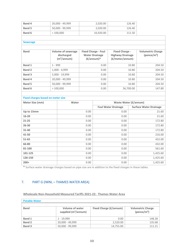| Band 4        | 20,000 - 49,999 | 2,020.00  | 126.40 |
|---------------|-----------------|-----------|--------|
| <b>Band 5</b> | 50,000 - 99,999 | 2.020.00  | 126.40 |
| <b>Band 6</b> | >100,000        | 16,920.00 | 111.50 |

#### **Sewerage**

| <b>Band</b>   | <b>Volume of sewerage</b><br>discharged<br>(m <sup>3</sup> /annum) | <b>Fixed Charge - Foul</b><br><b>Water Drainage</b><br>$(f/\text{annum})^*$ | <b>Fixed Charge -</b><br><b>Highway Drainage</b><br>(£/meter/annum) | <b>Volumetric Charge</b><br>(pence/ $m^3$ ) |
|---------------|--------------------------------------------------------------------|-----------------------------------------------------------------------------|---------------------------------------------------------------------|---------------------------------------------|
| <b>Band 1</b> | $1 - 999$                                                          | 0.00                                                                        | 10.80                                                               | 204.50                                      |
| <b>Band 2</b> | $1,000 - 4,999$                                                    | 0.00                                                                        | 10.80                                                               | 204.50                                      |
| <b>Band 3</b> | $5,000 - 19,999$                                                   | 0.00                                                                        | 10.80                                                               | 204.50                                      |
| Band 4        | 20,000 - 49,999                                                    | 0.00                                                                        | 10.80                                                               | 204.50                                      |
| Band 5        | 50,000 - 99,999                                                    | 0.00                                                                        | 10.80                                                               | 204.50                                      |
| Band 6        | >100.000                                                           | 0.00                                                                        | 56,700.00                                                           | 147.80                                      |
|               |                                                                    |                                                                             |                                                                     |                                             |

| <b>Fixed charges based on meter size</b> |       |                              |                               |  |  |
|------------------------------------------|-------|------------------------------|-------------------------------|--|--|
| Meter Size (mm)                          | Water | <b>Waste Water (£/annum)</b> |                               |  |  |
|                                          |       | <b>Foul Water Drainage</b>   | <b>Surface Water Drainage</b> |  |  |
| Up to 15mm                               | 0.00  | 0.00                         | 21.60                         |  |  |
| 16-20                                    | 0.00  | 0.00                         | 21.60                         |  |  |
| $21 - 25$                                | 0.00  | 0.00                         | 172.80                        |  |  |
| $26 - 30$                                | 0.00  | 0.00                         | 172.80                        |  |  |
| 31-40                                    | 0.00  | 0.00                         | 172.80                        |  |  |
| 41-50                                    | 0.00  | 0.00                         | 216.00                        |  |  |
| 51-65                                    | 0.00  | 0.00                         | 432.00                        |  |  |
| 66-80                                    | 0.00  | 0.00                         | 432.00                        |  |  |
| 81-100                                   | 0.00  | 0.00                         | 561.60                        |  |  |
| 101-125                                  | 0.00  | 0.00                         | 1,425.60                      |  |  |
| 126-150                                  | 0.00  | 0.00                         | 1,425.60                      |  |  |
| $200+$                                   | 0.00  | 0.00                         | 1,425.60                      |  |  |

**\*** Surface water drainage charges based on pipe size are in addition to the fixed charges in these tables.

# 7. PART G (IWNL – THAMES WATER AREA)

| Wholesale Non-Household Measured Tariffs 2021-22: Thames Water Area |
|---------------------------------------------------------------------|
|---------------------------------------------------------------------|

| <b>Potable Water</b> |                                                  |                               |                                             |
|----------------------|--------------------------------------------------|-------------------------------|---------------------------------------------|
|                      |                                                  |                               |                                             |
| <b>Band</b>          | <b>Volume of water</b><br>supplied $(m^3/annum)$ | <b>Fixed Charge (£/annum)</b> | <b>Volumetric Charge</b><br>(pence/ $m^3$ ) |
| Band 1               | $1 - 19.999$                                     | 0.00                          | 148.28                                      |
| <b>Band 2</b>        | 20,000 - 49,999                                  | 2,520.00                      | 135.68                                      |
| Band 3               | 50,000 - 99,999                                  | 14,755.00                     | 111.21                                      |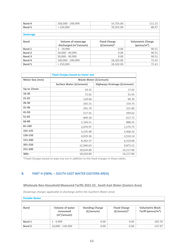| Band 4          | 100,000 - 249,999         | 14,755.00            | 111.21                   |
|-----------------|---------------------------|----------------------|--------------------------|
| Band 5          | > 250,000                 | 70,355.00            | 88.97                    |
|                 |                           |                      |                          |
| <b>Sewerage</b> |                           |                      |                          |
|                 |                           |                      |                          |
| <b>Band</b>     | <b>Volume of sewerage</b> | <b>Fixed Charge</b>  | <b>Volumetric Charge</b> |
|                 | discharged $(m^3/annum)$  | $(f/\text{annum})^*$ | (pence/m <sup>3</sup> )  |
| <b>Band 1</b>   | $1 - 19,999$              | 0.00                 | 90.51                    |
| Band 2          | 20,000 - 49,999           | 0.00                 | 90.51                    |
| Band 3          | 50,000 - 99,999           | 0.00                 | 90.51                    |
| Band 4          | 100,000 - 249,999         | 18,102.00            | 72.41                    |
| Band 5          | > 250.000                 | 18,102.00            | 72.41                    |

|                 | <b>Fixed charges based on meter size</b> |                             |  |  |
|-----------------|------------------------------------------|-----------------------------|--|--|
| Meter Size (mm) | <b>Waste Water (£/annum)</b>             |                             |  |  |
|                 | <b>Surface Water (£/annum)</b>           | Highways Drainage (£/annum) |  |  |
| Up to 15mm      | 29.32                                    | 17.02                       |  |  |
| $16 - 20$       | 72.62                                    | 55.45                       |  |  |
| $21 - 25$       | 129.68                                   | 99.29                       |  |  |
| 26-30           | 202.31                                   | 154.75                      |  |  |
| 31-40           | 291.79                                   | 221.80                      |  |  |
| 41-50           | 517.41                                   | 394.62                      |  |  |
| $51 - 65$       | 809.18                                   | 617.72                      |  |  |
| 66-80           | 1,164.51                                 | 888.55                      |  |  |
| 81-100          | 2,070.97                                 | 1,579.75                    |  |  |
| 101-125         | 3,235.48                                 | 2,468.32                    |  |  |
| 126-150         | 4,659.36                                 | 3,554.14                    |  |  |
| 151-200         | 8,282.57                                 | 6,319.06                    |  |  |
| 201-250         | 12,940.63                                | 9,873.21                    |  |  |
| 251-300         | 18,634.80                                | 14,217.86                   |  |  |
| $300+$          | 18,634.80                                | 14,217.86                   |  |  |

## 8. PART H (IWNL – SOUTH EAST WATER EASTERN AREA)

#### **Wholesale Non-Household Measured Tariffs 2021-22: South East Water (Eastern Area)**

*(Sewerage charges applicable to discharge within the Southern Water area)*

| <b>Potable Water</b> |                                                               |                                              |                                     |                                                   |  |
|----------------------|---------------------------------------------------------------|----------------------------------------------|-------------------------------------|---------------------------------------------------|--|
|                      |                                                               |                                              |                                     |                                                   |  |
| <b>Band</b>          | <b>Volume of water</b><br>consumed<br>(m <sup>3</sup> /annum) | <b>Standing Charge</b><br>$(f/\text{annum})$ | <b>Fixed Charge</b><br>$(E/annum)*$ | <b>Volumetric Block</b><br>Tariff (pence/ $m^3$ ) |  |
| Band 1               | $1 - 9.999$                                                   | 0.00                                         | 0.00                                | 183.74                                            |  |
| <b>Band 2</b>        | 10,000 - 149,999                                              | 0.00                                         | 0.00                                | 147.97                                            |  |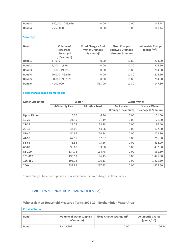| <b>Band 3</b> | 150,000 - 249,999 | 0.00 | 0.00 | 7Д<br>144.7 |
|---------------|-------------------|------|------|-------------|
| Band 4        | 250,000           | 0.00 | 0.00 | I Д1        |
|               |                   |      |      |             |

#### **Sewerage**

| <b>Band</b>   | Volume of               | <b>Fixed Charge - Foul</b> | <b>Fixed Charge -</b>   | <b>Volumetric Charge</b> |
|---------------|-------------------------|----------------------------|-------------------------|--------------------------|
|               | sewerage                | <b>Water Drainage</b>      | <b>Highway Drainage</b> | (pence/ $m^3$ )          |
|               | discharged              | $(E/annum)*$               | (£/meter/annum)         |                          |
|               | (m <sup>3</sup> /annum) |                            |                         |                          |
| <b>Band 1</b> | $1 - 999$               | 0.00                       | 10.80                   | 204.50                   |
| <b>Band 2</b> | $1,000 - 4,999$         | 0.00                       | 10.80                   | 204.50                   |
| <b>Band 3</b> | $5,000 - 19,999$        | 0.00                       | 10.80                   | 204.50                   |
| Band 4        | 20,000 - 49,999         | 0.00                       | 10.80                   | 204.50                   |
| <b>Band 5</b> | 50,000 - 99,999         | 0.00                       | 10.80                   | 204.50                   |
| <b>Band 6</b> | >100,000                | 56,700                     | 10.80                   | 147.80                   |
|               |                         |                            |                         |                          |

#### **Fixed charges based on meter size**

| Meter Size (mm) | Water                 |                     |                                         | <b>Waste Water</b>                         |
|-----------------|-----------------------|---------------------|-----------------------------------------|--------------------------------------------|
|                 | <b>6-Monthly Read</b> | <b>Monthly Read</b> | <b>Foul Water</b><br>Drainage (£/annum) | <b>Surface Water</b><br>Drainage (£/annum) |
| Up to 15mm      | 6.36                  | 6.36                | 0.00                                    | 21.60                                      |
| $16 - 20$       | 21.19                 | 21.19               | 0.00                                    | 21.60                                      |
| $21 - 25$       | 28.78                 | 28.78               | 0.00                                    | 86.40                                      |
| $26 - 30$       | 44.06                 | 44.06               | 0.00                                    | 172.80                                     |
| $31 - 40$       | 54.84                 | 54.84               | 0.00                                    | 172.80                                     |
| 41-50           | 67.97                 | 67.97               | 0.00                                    | 216.00                                     |
| 51-65           | 75.56                 | 75.56               | 0.00                                    | 432.00                                     |
| 66-80           | 93.68                 | 93.68               | 0.00                                    | 432.00                                     |
| 81-100          | 134.78                | 134.78              | 0.00                                    | 561.60                                     |
| 101-125         | 196.13                | 196.13              | 0.00                                    | 1,425.60                                   |
| 126-150         | 196.13                | 196.13              | 0.00                                    | 1,425.60                                   |
| $200+$          | 237.83                | 237.83              | 0.00                                    | 1,425.60                                   |

\*Fixed Charges based on pipe size are in addition to the fixed charges in these tables.

#### <span id="page-11-0"></span>9. PART I (IWNL – NORTHUMBRIAN WATER AREA)

#### **Wholesale Non-Household Measured Tariffs 2021-22: Northumbrian Water Area**

| <b>Potable Water</b> |                                                     |                         |                                             |
|----------------------|-----------------------------------------------------|-------------------------|---------------------------------------------|
|                      |                                                     |                         |                                             |
| <b>Band</b>          | Volume of water supplied<br>(m <sup>3</sup> /annum) | Fixed Charge (£/annum)* | <b>Volumetric Charge</b><br>(pence/ $m^3$ ) |
| Band 1               | $1 - 19.999$                                        | 0.00                    | 106.14                                      |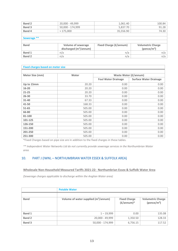| <b>Band 2</b> | 20,000 - 49,999           | 1,061.40                      | 100.84                   |
|---------------|---------------------------|-------------------------------|--------------------------|
| <b>Band 3</b> | 50,000 - 174,999          | 5,837.70                      | 91.28                    |
| Band 4        | >175,000                  | 35,556.90                     | 74.30                    |
|               |                           |                               |                          |
| Sewerage **   |                           |                               |                          |
|               |                           |                               |                          |
| <b>Band</b>   | <b>Volume of sewerage</b> | <b>Fixed Charge (£/annum)</b> | <b>Volumetric Charge</b> |
|               | discharged $(m^3/annum)$  |                               | (pence/ $m^3$ )          |
| <b>Band 1</b> | n/a                       | n/a                           | n/a                      |
| Band 2        | n/a                       | n/a                           | n/a                      |

| <b>Fixed charges based on meter size</b> |        |                              |                               |  |
|------------------------------------------|--------|------------------------------|-------------------------------|--|
|                                          |        |                              |                               |  |
| Meter Size (mm)                          | Water  | <b>Waste Water (£/annum)</b> |                               |  |
|                                          |        | <b>Foul Water Drainage</b>   | <b>Surface Water Drainage</b> |  |
| Up to 15mm                               | 20.20  | 0.00                         | 0.00                          |  |
| $16 - 20$                                | 20.20  | 0.00                         | 0.00                          |  |
| $21 - 25$                                | 20.20  | 0.00                         | 0.00                          |  |
| $26 - 30$                                | 33.70  | 0.00                         | 0.00                          |  |
| 31-40                                    | 67.33  | 0.00                         | 0.00                          |  |
| 41-50                                    | 168.33 | 0.00                         | 0.00                          |  |
| 51-65                                    | 505.00 | 0.00                         | 0.00                          |  |
| 66-80                                    | 505.00 | 0.00                         | 0.00                          |  |
| 81-100                                   | 505.00 | 0.00                         | 0.00                          |  |
| 101-125                                  | 505.00 | 0.00                         | 0.00                          |  |
| 126-150                                  | 505.00 | 0.00                         | 0.00                          |  |
| 151-200                                  | 505.00 | 0.00                         | 0.00                          |  |
| 201-250                                  | 505.00 | 0.00                         | 0.00                          |  |
| 251-300                                  | 505.00 | 0.00                         | 0.00                          |  |

*\*\* Independent Water Networks Ltd do not currently provide sewerage services in the Northumbrian Water area.*

#### <span id="page-12-0"></span>10. PART J (IWNL – NORTHUMBRIAN WATER ESSEX & SUFFOLK AREA)

#### **Wholesale Non-Household Measured Tariffs 2021-22: Northumbrian Essex & Suffolk Water Area**

*(Sewerage charges applicable to discharge within the Anglian Water area)*

|               | <b>Potable Water</b>                             |                                     |                                             |
|---------------|--------------------------------------------------|-------------------------------------|---------------------------------------------|
|               |                                                  |                                     |                                             |
| <b>Band</b>   | Volume of water supplied (m <sup>3</sup> /annum) | <b>Fixed Charge</b><br>$(E/annum)*$ | <b>Volumetric Charge</b><br>(pence/ $m^3$ ) |
| Band 1        | $1 - 19,999$                                     | 0.00                                | 135.08                                      |
| <b>Band 2</b> | 20,000 - 49,999                                  | 1,350.50                            | 128.33                                      |
| <b>Band 3</b> | 50,000 - 174,999                                 | 6,756.15                            | 117.52                                      |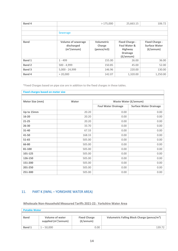| Band 4        |                                                                    | >175,000                                  | 25,663.15                                                                  | 106.72                                                              |
|---------------|--------------------------------------------------------------------|-------------------------------------------|----------------------------------------------------------------------------|---------------------------------------------------------------------|
|               |                                                                    |                                           |                                                                            |                                                                     |
|               | Sewerage                                                           |                                           |                                                                            |                                                                     |
|               |                                                                    |                                           |                                                                            |                                                                     |
| <b>Band</b>   | <b>Volume of sewerage</b><br>discharged<br>(m <sup>3</sup> /annum) | <b>Volumetric</b><br>Charge<br>(pence/m3) | <b>Fixed Charge -</b><br>Foul Water &<br><b>Highway</b><br><b>Drainage</b> | <b>Fixed Charge -</b><br><b>Surface Water</b><br>$(f/\text{annum})$ |
|               |                                                                    |                                           | $(f/\text{annum})$                                                         |                                                                     |
| Band 1        | $1 - 499$                                                          | 155.00                                    | 26.00                                                                      | 36.00                                                               |
| <b>Band 2</b> | $500 - 4,999$                                                      | 150.85                                    | 45.00                                                                      | 52.00                                                               |
| <b>Band 3</b> | $5,000 - 24,999$                                                   | 146.96                                    | 220.00                                                                     | 130.00                                                              |

| <b>Fixed charges based on meter size</b> |        |                              |                               |  |
|------------------------------------------|--------|------------------------------|-------------------------------|--|
|                                          |        |                              |                               |  |
| Meter Size (mm)                          | Water  | <b>Waste Water (£/annum)</b> |                               |  |
|                                          |        | <b>Foul Water Drainage</b>   | <b>Surface Water Drainage</b> |  |
| Up to 15mm                               | 20.20  | 0.00                         | 0.00                          |  |
| $16 - 20$                                | 20.20  | 0.00                         | 0.00                          |  |
| $21 - 25$                                | 20.20  | 0.00                         | 0.00                          |  |
| $26 - 30$                                | 33.70  | 0.00                         | 0.00                          |  |
| 31-40                                    | 67.33  | 0.00                         | 0.00                          |  |
| 41-50                                    | 168.33 | 0.00                         | 0.00                          |  |
| 51-65                                    | 505.00 | 0.00                         | 0.00                          |  |
| 66-80                                    | 505.00 | 0.00                         | 0.00                          |  |
| 81-100                                   | 505.00 | 0.00                         | 0.00                          |  |
| 101-125                                  | 505.00 | 0.00                         | 0.00                          |  |
| 126-150                                  | 505.00 | 0.00                         | 0.00                          |  |
| 151-200                                  | 505.00 | 0.00                         | 0.00                          |  |
| 201-250                                  | 505.00 | 0.00                         | 0.00                          |  |
| 251-300                                  | 505.00 | 0.00                         | 0.00                          |  |

# <span id="page-13-0"></span>11. PART K (IWNL – YORKSHIRE WATER AREA)

**Wholesale Non-Household Measured Tariffs 2021-22: Yorkshire Water Area**

| <b>Potable Water</b> |                                           |                                           |                                                         |  |  |
|----------------------|-------------------------------------------|-------------------------------------------|---------------------------------------------------------|--|--|
|                      |                                           |                                           |                                                         |  |  |
| <b>Band</b>          | Volume of water<br>supplied $(m^3/annum)$ | <b>Fixed Charge</b><br>$(f/\text{annum})$ | Volumetric Falling Block Charge (pence/m <sup>3</sup> ) |  |  |
| <b>Band 1</b>        | $1 - 50,000$                              | 0.00                                      | 139 72                                                  |  |  |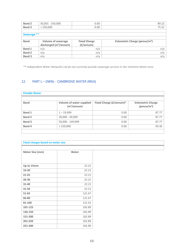| <b>Band 2</b> | $50,001 - 250,000$        | 0.00                |                                           | 89.22 |  |  |
|---------------|---------------------------|---------------------|-------------------------------------------|-------|--|--|
| <b>Band 3</b> | > 250,000                 | 0.00                |                                           | 75.31 |  |  |
|               |                           |                     |                                           |       |  |  |
| Sewerage **   |                           |                     |                                           |       |  |  |
|               |                           |                     |                                           |       |  |  |
| <b>Band</b>   | <b>Volume of sewerage</b> | <b>Fixed Charge</b> | Volumetric Charge (pence/m <sup>3</sup> ) |       |  |  |
|               |                           |                     |                                           |       |  |  |
|               | discharged $(m^3/annum)$  | $(f/\text{annum})$  |                                           |       |  |  |
| <b>Band 1</b> | n/a                       | n/a                 |                                           | n/a   |  |  |
| <b>Band 2</b> | n/a                       | n/a                 |                                           | n/a   |  |  |
|               |                           |                     |                                           |       |  |  |

*\*\* Independent Water Networks Ltd do not currently provide sewerage services in the Yorkshire Water area.*

## <span id="page-14-0"></span>12. PART L – (IWNL - CAMBRIDGE WATER AREA)

| <b>Potable Water</b> |                                                            |                         |                                             |  |
|----------------------|------------------------------------------------------------|-------------------------|---------------------------------------------|--|
| <b>Band</b>          | <b>Volume of water supplied</b><br>(m <sup>3</sup> /annum) | Fixed Charge (£/annum)* | <b>Volumetric Charge</b><br>(pence/ $m^3$ ) |  |
| <b>Band 1</b>        | $1 - 19,999$                                               | 0.00                    | 87.77                                       |  |
| <b>Band 2</b>        | 20,000 - 49,999                                            | 0.00                    | 87.77                                       |  |
| Band 3               | 50,000 - 149,999                                           | 0.00                    | 87.77                                       |  |
| Band 4               | >150,000                                                   | 0.00                    | 69.36                                       |  |
|                      |                                                            |                         |                                             |  |

| <b>Fixed charges based on meter size</b> |        |  |
|------------------------------------------|--------|--|
|                                          |        |  |
| Meter Size (mm)                          | Water  |  |
|                                          |        |  |
| Up to 15mm                               | 22.21  |  |
| $16 - 20$                                | 22.21  |  |
| $21 - 25$                                | 22.21  |  |
| $26 - 30$                                | 22.21  |  |
| 31-40                                    | 22.21  |  |
| 41-50                                    | 22.21  |  |
| 51-65                                    | 121.67 |  |
| 66-80                                    | 121.67 |  |
| 81-100                                   | 131.91 |  |
| 101-125                                  | 165.89 |  |
| 126-150                                  | 165.89 |  |
| 151-200                                  | 165.89 |  |
| 201-250                                  | 165.89 |  |
| 251-300                                  | 165.89 |  |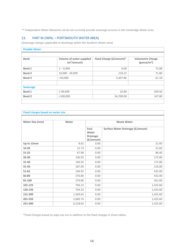*\*\* Independent Water Networks Ltd do not currently provide sewerage services in the Cambridge Water area.*

#### <span id="page-15-0"></span>13. PART M (IWNL – PORTSMOUTH WATER AREA)

*(Sewerage charges applicable to discharge within the Southern Water area)*

| <b>Potable Water</b> |                                                            |                         |                                             |  |
|----------------------|------------------------------------------------------------|-------------------------|---------------------------------------------|--|
|                      |                                                            |                         |                                             |  |
| <b>Band</b>          | <b>Volume of water supplied</b><br>(m <sup>3</sup> /annum) | Fixed Charge (£/annum)* | <b>Volumetric Charge</b><br>(pence/ $m^3$ ) |  |
| Band 1               | $1 - 9,999$                                                | 0.00                    | 73.98                                       |  |
| <b>Band 2</b>        | 10,000 - 49,999                                            | 218.22                  | 71.80                                       |  |
| <b>Band 3</b>        | >50,000                                                    | 5,307.86                | 61.18                                       |  |
| <b>Sewerage</b>      |                                                            |                         |                                             |  |
| <b>Band 1</b>        | 1-99,999                                                   | 10.80                   | 204.50                                      |  |
| <b>Band 2</b>        | >100,000                                                   | 56,700.00               | 147.80                                      |  |

| <b>Fixed charges based on meter size</b> |          |                                                        |                                         |  |
|------------------------------------------|----------|--------------------------------------------------------|-----------------------------------------|--|
|                                          |          |                                                        |                                         |  |
| Meter Size (mm)                          | Water    |                                                        | <b>Waste Water</b>                      |  |
|                                          |          | Foul<br>Water<br><b>Drainage</b><br>$(f/\text{annum})$ | <b>Surface Water Drainage (£/annum)</b> |  |
| Up to 15mm                               | 8.62     | 0.00                                                   | 21.60                                   |  |
| 16-20                                    | 12.73    | 0.00                                                   | 21.60                                   |  |
| $21 - 25$                                | 67.08    | 0.00                                                   | 86.40                                   |  |
| $26 - 30$                                | 146.92   | 0.00                                                   | 172.80                                  |  |
| 31-40                                    | 146.92   | 0.00                                                   | 172.80                                  |  |
| 41-50                                    | 187.09   | 0.00                                                   | 216.00                                  |  |
| 51-65                                    | 146.92   | 0.00                                                   | 432.00                                  |  |
| 66-80                                    | 276.86   | 0.00                                                   | 432.00                                  |  |
| 81-100                                   | 276.86   | 0.00                                                   | 561.60                                  |  |
| 101-125                                  | 704.23   | 0.00                                                   | 1,425.60                                |  |
| 126-150                                  | 704.23   | 0.00                                                   | 1,425.60                                |  |
| 151-200                                  | 1,569.65 | 0.00                                                   | 1,425.60                                |  |
| 201-250                                  | 2,600.74 | 0.00                                                   | 1,425.60                                |  |
| 251-300                                  | 6,218.62 | 0.00                                                   | 1,425.60                                |  |

\*Fixed Charges based on pipe size are in addition to the fixed charges in these tables.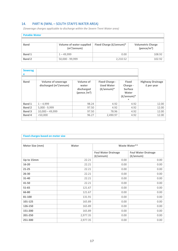# <span id="page-16-0"></span>14. PART N (IWNL – SOUTH STAFFS WATER AREA)

*(Sewerage charges applicable to discharge within the Severn Trent Water area)*

| <b>Potable Water</b> |                                                     |                         |                                             |  |
|----------------------|-----------------------------------------------------|-------------------------|---------------------------------------------|--|
|                      |                                                     |                         |                                             |  |
| <b>Band</b>          | Volume of water supplied<br>(m <sup>3</sup> /annum) | Fixed Charge (£/annum)* | <b>Volumetric Charge</b><br>(pence/ $m^3$ ) |  |
| <b>Band 1</b>        | $1 - 49.999$                                        | 0.00                    | 108.92                                      |  |
| Band 2               | 50,000 - 99,999                                     | 2.210.52                | 102.92                                      |  |

| <b>Sewerag</b><br>е |                                                       |                                                    |                                                                    |                                                                                    |                                       |
|---------------------|-------------------------------------------------------|----------------------------------------------------|--------------------------------------------------------------------|------------------------------------------------------------------------------------|---------------------------------------|
| <b>Band</b>         | <b>Volume of sewerage</b><br>discharged $(m^3/annum)$ | Volume of<br>water<br>discharged<br>(pence $/m3$ ) | <b>Fixed Charge -</b><br><b>Used Water</b><br>$(f/\text{annum})^*$ | <b>Fixed</b><br>Charge -<br><b>Surface</b><br>Water<br>$(f/\text{annum})^*$<br>$*$ | <b>Highway Drainage</b><br>£ per year |
| <b>Band 1</b>       | $1 - 4.999$                                           | 98.24                                              | 4.92                                                               | 4.92                                                                               | 12.00                                 |
| <b>Band 2</b>       | $5,000 - 9,999$                                       | 97.50                                              | 4.92                                                               | 4.92                                                                               | 12.00                                 |
| <b>Band 3</b>       | $10,000 - 49,999$                                     | 97.50                                              | 78.96                                                              | 4.92                                                                               | 12.00                                 |
| Band 4              | >50.000                                               | 96.27                                              | 2,490.97                                                           | 4.92                                                                               | 12.00                                 |
|                     |                                                       |                                                    |                                                                    |                                                                                    |                                       |

| <b>Fixed charges based on meter size</b> |          |                                                  |                                                  |  |  |  |
|------------------------------------------|----------|--------------------------------------------------|--------------------------------------------------|--|--|--|
|                                          |          |                                                  |                                                  |  |  |  |
| Meter Size (mm)                          | Water    | Waste Water**                                    |                                                  |  |  |  |
|                                          |          | <b>Foul Water Drainage</b><br>$(f/\text{annum})$ | <b>Foul Water Drainage</b><br>$(f/\text{annum})$ |  |  |  |
| Up to 15mm                               | 22.21    | 0.00                                             | 0.00                                             |  |  |  |
| 16-20                                    | 22.21    | 0.00                                             | 0.00                                             |  |  |  |
| $21 - 25$                                | 22.21    | 0.00                                             | 0.00                                             |  |  |  |
| $26 - 30$                                | 22.21    | 0.00                                             | 0.00                                             |  |  |  |
| 31-40                                    | 22.21    | 0.00                                             | 0.00                                             |  |  |  |
| 41-50                                    | 22.21    | 0.00                                             | 0.00                                             |  |  |  |
| 51-65                                    | 121.67   | 0.00                                             | 0.00                                             |  |  |  |
| 66-80                                    | 121.67   | 0.00                                             | 0.00                                             |  |  |  |
| 81-100                                   | 131.91   | 0.00                                             | 0.00                                             |  |  |  |
| 101-125                                  | 165.89   | 0.00                                             | 0.00                                             |  |  |  |
| 126-150                                  | 165.89   | 0.00                                             | 0.00                                             |  |  |  |
| 151-200                                  | 165.89   | 0.00                                             | 0.00                                             |  |  |  |
| 201-250                                  | 2,977.35 | 0.00                                             | 0.00                                             |  |  |  |
| 251-300                                  | 2,977.35 | 0.00                                             | 0.00                                             |  |  |  |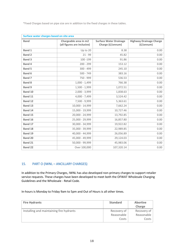| Surface water charges based on site area |                                                      |                                                   |                                                      |  |  |  |
|------------------------------------------|------------------------------------------------------|---------------------------------------------------|------------------------------------------------------|--|--|--|
| <b>Band</b>                              | Chargeable area in m2<br>(all figures are inclusive) | <b>Surface Water Drainage</b><br>Charge (£/annum) | <b>Highway Drainage Charge</b><br>$(f/\text{annum})$ |  |  |  |
| Band 1                                   | Up to 20                                             | 8.38                                              | 0.00                                                 |  |  |  |
| <b>Band 2</b>                            | $21 - 99$                                            | 45.82                                             | 0.00                                                 |  |  |  |
| <b>Band 3</b>                            | 100 - 199                                            | 91.86                                             | 0.00                                                 |  |  |  |
| Band 4                                   | $200 - 299$                                          | 153.12                                            | 0.00                                                 |  |  |  |
| <b>Band 5</b>                            | $300 - 499$                                          | 245.10                                            | 0.00                                                 |  |  |  |
| <b>Band 6</b>                            | $500 - 749$                                          | 383.16                                            | 0.00                                                 |  |  |  |
| <b>Band 7</b>                            | 750 - 999                                            | 536.53                                            | 0.00                                                 |  |  |  |
| <b>Band 8</b>                            | $1,000 - 1,499$                                      | 766.38                                            | 0.00                                                 |  |  |  |
| <b>Band 9</b>                            | $1,500 - 1,999$                                      | 1,072.51                                          | 0.00                                                 |  |  |  |
| Band 10                                  | $2,000 - 3,999$                                      | 1,838.63                                          | 0.00                                                 |  |  |  |
| Band 11                                  | 4,000 - 7,499                                        | 3,524.42                                          | 0.00                                                 |  |  |  |
| Band 12                                  | 7,500 - 9,999                                        | 5,363.61                                          | 0.00                                                 |  |  |  |
| Band 13                                  | 10,000 - 14,999                                      | 7,662.24                                          | 0.00                                                 |  |  |  |
| Band 14                                  | 15,000 - 19,999                                      | 10,727.46                                         | 0.00                                                 |  |  |  |
| <b>Band 15</b>                           | 20,000 - 24,999                                      | 13,792.85                                         | 0.00                                                 |  |  |  |
| Band 16                                  | 25,000 - 29,999                                      | 16,857.80                                         | 0.00                                                 |  |  |  |
| Band 17                                  | 30,000 - 34,999                                      | 19,922.82                                         | 0.00                                                 |  |  |  |
| Band 18                                  | 35,000 - 39,999                                      | 22,989.85                                         | 0.00                                                 |  |  |  |
| Band 19                                  | 40,000 - 44,999                                      | 26,056.89                                         | 0.00                                                 |  |  |  |
| <b>Band 20</b>                           | 45,000 - 49,999                                      | 29,124.03                                         | 0.00                                                 |  |  |  |
| <b>Band 21</b>                           | 50,000 - 99,999                                      | 45,983.06                                         | 0.00                                                 |  |  |  |
| <b>Band 22</b>                           | Over 100,000                                         | 107,320.14                                        | 0.00                                                 |  |  |  |

#### <span id="page-17-0"></span>15. PART O (IWNL – ANCILLARY CHARGES)

In addition to the Primary Charges, IWNL has also developed non-primary charges to support retailer service requests. These charges have been developed to meet both the OFWAT Wholesale Charging Guidelines and the Wholesale - Retail Code.

In-hours is Monday to Friday 9am to 5pm and Out of Hours is all other times.

| <b>Fire Hydrants</b>                     | <b>Standard</b> | <b>Abortive</b><br>Charge |
|------------------------------------------|-----------------|---------------------------|
| Installing and maintaining fire hydrants | Recovery of     | Recovery of               |
|                                          | Reasonable      | Reasonable                |
|                                          | Costs           | Costs                     |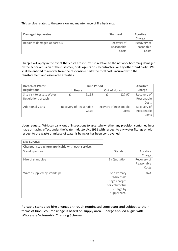This service relates to the provision and maintenance of fire hydrants.

| <b>Damaged Apparatus</b>    | <b>Standard</b> | <b>Abortive</b><br>Charge |
|-----------------------------|-----------------|---------------------------|
| Repair of damaged apparatus | Recovery of     | Recovery of $ $           |
|                             | Reasonable      | Reasonable                |
|                             | Costs           | Costs                     |

Charges will apply in the event that costs are incurred in relation to the network becoming damaged by the act or omission of the customer, or its agents or subcontractors or any other third party. We shall be entitled to recover from the responsible party the total costs incurred with the reinstatement and associated activities.

| <b>Breach of Water</b>     | <b>Time Period</b>     |       |                     |                        | <b>Abortive</b> |  |
|----------------------------|------------------------|-------|---------------------|------------------------|-----------------|--|
| <b>Regulations</b>         | <b>In Hours</b>        |       | <b>Out of Hours</b> |                        | Charge          |  |
| Site visit to assess Water |                        | 91.55 |                     | 127.97                 | Recovery of     |  |
| Regulations breach         |                        |       |                     |                        | Reasonable      |  |
|                            |                        |       |                     |                        | Costs           |  |
| <b>Additional Visits</b>   | Recovery of Reasonable |       |                     | Recovery of Reasonable | Recovery of     |  |
|                            |                        | Costs |                     | Costs                  | Reasonable      |  |
|                            |                        |       |                     |                        | Costs           |  |

Upon request, IWNL can carry out of inspections to ascertain whether any provision contained in or made or having effect under the Water Industry Act 1991 with respect to any water fittings or with respect to the waste or misuse of water is being or has been contravened.

| <b>Site Surveys</b>                                |                |             |
|----------------------------------------------------|----------------|-------------|
| Charges listed where applicable with each service. |                |             |
| <b>Standpipe Hire</b>                              | Standard       | Abortive    |
|                                                    |                | Charge      |
| Hire of standpipe                                  | By Quotation   | Recovery of |
|                                                    |                | Reasonable  |
|                                                    |                | Costs       |
| Water supplied by standpipe                        | See Primary    | N/A         |
|                                                    | Wholesale      |             |
|                                                    | usage charges  |             |
|                                                    | for volumetric |             |
|                                                    | charge by      |             |
|                                                    | supply area.   |             |
|                                                    |                |             |

Portable standpipe hire arranged through nominated contractor and subject to their terms of hire. Volume usage is based on supply area. Charge applied aligns with Wholesale Volumetric Charging Scheme.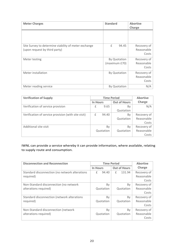| <b>Meter Charges</b>                                                                  | <b>Standard</b>               | <b>Abortive</b>                    |
|---------------------------------------------------------------------------------------|-------------------------------|------------------------------------|
|                                                                                       |                               | Charge                             |
|                                                                                       |                               |                                    |
| Site Survey to determine viability of meter exchange<br>(upon request by third party) | £<br>94.45                    | Recovery of<br>Reasonable<br>Costs |
| Meter testing                                                                         | By Quotation<br>(maximum £70) | Recovery of<br>Reasonable<br>Costs |
| Meter installation                                                                    | By Quotation                  | Recovery of<br>Reasonable<br>Costs |
| Meter reading service                                                                 | <b>By Quotation</b>           | N/A                                |

| <b>Verification of Supply</b>                       | <b>Time Period</b> |           | <b>Abortive</b>     |             |
|-----------------------------------------------------|--------------------|-----------|---------------------|-------------|
|                                                     | <b>In Hours</b>    |           | <b>Out of Hours</b> | Charge      |
| Verification of service provision                   | £                  | 9.65      | By                  | N/A         |
|                                                     |                    |           | Quotation           |             |
| Verification of service provision (with site visit) | £                  | 94.40     | Bv                  | Recovery of |
|                                                     |                    |           | Quotation           | Reasonable  |
|                                                     |                    |           |                     | Costs       |
| Additional site visit                               |                    | By        | Bv                  | Recovery of |
|                                                     |                    | Quotation | Quotation           | Reasonable  |
|                                                     |                    |           |                     | Costs       |

# IWNL can provide a service whereby it can provide information, where available, relating to supply route and consumption.

| <b>Disconnection and Reconnection</b>          | <b>Time Period</b> |                     | <b>Abortive</b> |
|------------------------------------------------|--------------------|---------------------|-----------------|
|                                                | <b>In Hours</b>    | <b>Out of Hours</b> | Charge          |
| Standard disconnection (no network alterations | 94.40<br>£         | 131.94<br>£         | Recovery of     |
| required)                                      |                    |                     | Reasonable      |
|                                                |                    |                     | Costs           |
| Non-Standard disconnection (no network         | Bv                 | Bv                  | Recovery of     |
| alterations required)                          | Quotation          | Quotation           | Reasonable      |
|                                                |                    |                     | Costs           |
| Standard disconnection (network alterations    | Bv                 | Bv                  | Recovery of     |
| required)                                      | Quotation          | Quotation           | Reasonable      |
|                                                |                    |                     | Costs           |
| Non-Standard disconnection (network            | Bv                 | By                  | Recovery of     |
| alterations required)                          | Quotation          | Quotation           | Reasonable      |
|                                                |                    |                     | Costs           |